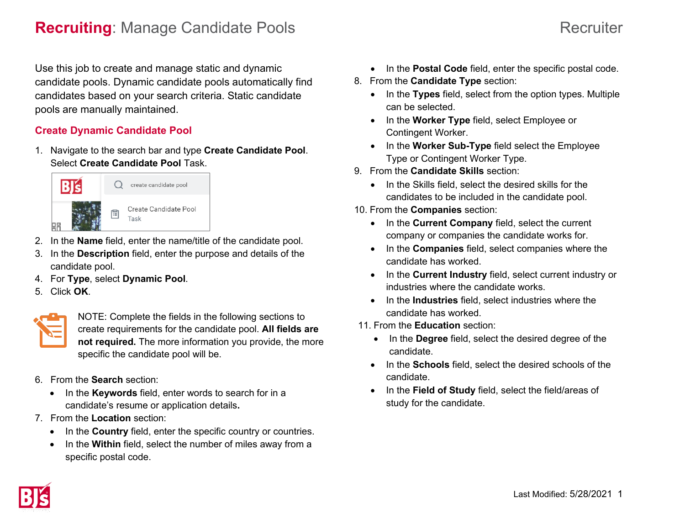# **Recruiting**: Manage Candidate Pools **Recruiting**: Manage Candidate Pools

### Use this job to create and manage static and dynamic candidate pools. Dynamic candidate pools automatically find candidates based on your search criteria. Static candidate pools are manually maintained.

#### **Create Dynamic Candidate Pool**

1. Navigate to the search bar and type **Create Candidate Pool**. Select **Create Candidate Pool** Task.



- 2. In the **Name** field, enter the name/title of the candidate pool.
- 3. In the **Description** field, enter the purpose and details of the candidate pool.
- 4. For **Type**, select **Dynamic Pool**.
- 5. Click **OK**.



NOTE: Complete the fields in the following sections to create requirements for the candidate pool. **All fields are not required.** The more information you provide, the more specific the candidate pool will be.

- 6. From the **Search** section:
	- In the **Keywords** field, enter words to search for in a candidate's resume or application details**.**
- 7. From the **Location** section:
	- In the **Country** field, enter the specific country or countries.
	- In the **Within** field, select the number of miles away from a specific postal code.
- In the **Postal Code** field, enter the specific postal code.
- 8. From the **Candidate Type** section:
	- In the **Types** field, select from the option types. Multiple can be selected.
	- In the **Worker Type** field, select Employee or Contingent Worker.
	- In the **Worker Sub-Type** field select the Employee Type or Contingent Worker Type.
- 9. From the **Candidate Skills** section:
	- In the Skills field, select the desired skills for the candidates to be included in the candidate pool.
- 10. From the **Companies** section:
	- In the **Current Company** field, select the current company or companies the candidate works for.
	- In the **Companies** field, select companies where the candidate has worked.
	- In the **Current Industry** field, select current industry or industries where the candidate works.
	- In the **Industries** field, select industries where the candidate has worked.
- 11. From the **Education** section:
	- In the **Degree** field, select the desired degree of the candidate.
	- In the **Schools** field, select the desired schools of the candidate.
	- In the **Field of Study** field, select the field/areas of study for the candidate.

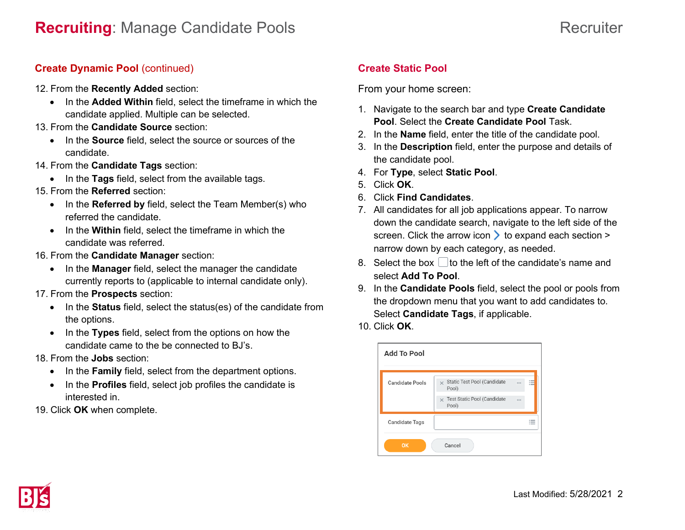### **Create Dynamic Pool (continued)**

- 12. From the **Recently Added** section:
	- In the **Added Within** field, select the timeframe in which the candidate applied. Multiple can be selected.
- 13. From the **Candidate Source** section:
	- In the **Source** field, select the source or sources of the candidate.
- 14. From the **Candidate Tags** section:
	- In the **Tags** field, select from the available tags.
- 15. From the **Referred** section:
	- In the **Referred by** field, select the Team Member(s) who referred the candidate.
	- In the **Within** field, select the timeframe in which the candidate was referred.
- 16. From the **Candidate Manager** section:
	- In the **Manager** field, select the manager the candidate currently reports to (applicable to internal candidate only).
- 17. From the **Prospects** section:
	- In the **Status** field, select the status(es) of the candidate from the options.
	- In the **Types** field, select from the options on how the candidate came to the be connected to BJ's.
- 18. From the **Jobs** section:
	- In the **Family** field, select from the department options.
	- In the **Profiles** field, select job profiles the candidate is interested in.

19. Click **OK** when complete.

## **Create Static Pool**

From your home screen:

- 1. Navigate to the search bar and type **Create Candidate Pool**. Select the **Create Candidate Pool** Task.
- 2. In the **Name** field, enter the title of the candidate pool.
- 3. In the **Description** field, enter the purpose and details of the candidate pool.
- 4. For **Type**, select **Static Pool**.
- 5. Click **OK**.
- 6. Click **Find Candidates**.
- 7. All candidates for all job applications appear. To narrow down the candidate search, navigate to the left side of the screen. Click the arrow icon  $\geq$  to expand each section > narrow down by each category, as needed.
- 8. Select the box  $\Box$  to the left of the candidate's name and select **Add To Pool**.
- 9. In the **Candidate Pools** field, select the pool or pools from the dropdown menu that you want to add candidates to. Select **Candidate Tags**, if applicable.
- 10. Click **OK**.

| <b>Add To Pool</b>     |                                                  |               |     |
|------------------------|--------------------------------------------------|---------------|-----|
| <b>Candidate Pools</b> | Static Test Pool (Candidate<br>$\times$<br>Pool) |               | . . |
|                        | Test Static Pool (Candidate<br>$\times$<br>Pool) | $\sim$ $\sim$ |     |
| <b>Candidate Tags</b>  |                                                  |               |     |
| Cancel<br>OK           |                                                  |               |     |